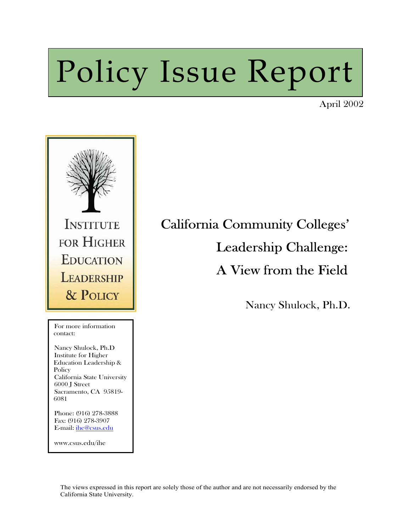# Policy Issue Report

April 2002



For mo<br>contact: For more information

Nancy Shulock, Ph.D Institute for Higher Education Leadership & **Policy** California State University 6000 J Street Sacramento, CA 95819- 6081

 $\overline{\phantom{a}}$ 

 $\overline{\phantom{a}}$ 

 $\overline{\phantom{a}}$ 

Phone: (916) 278-3888 Fax: (916) 278-3907 E-mail: [ihe@csus.edu](mailto:ihe@csus.edu)

www.csus.edu/ihe

## California Community Colleges' Leadership Challenge: A View from the Field

Nancy Shulock, Ph.D.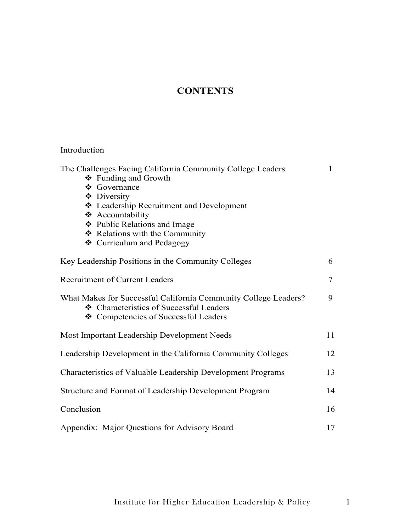### **CONTENTS**

#### Introduction

| The Challenges Facing California Community College Leaders<br>❖ Funding and Growth                                                                 | 1  |
|----------------------------------------------------------------------------------------------------------------------------------------------------|----|
| ❖ Governance<br>❖ Diversity                                                                                                                        |    |
| ❖ Leadership Recruitment and Development                                                                                                           |    |
| ❖ Accountability                                                                                                                                   |    |
| ❖ Public Relations and Image                                                                                                                       |    |
| ❖ Relations with the Community                                                                                                                     |    |
| ❖ Curriculum and Pedagogy                                                                                                                          |    |
| Key Leadership Positions in the Community Colleges                                                                                                 | 6  |
| <b>Recruitment of Current Leaders</b>                                                                                                              | 7  |
| What Makes for Successful California Community College Leaders?<br>❖ Characteristics of Successful Leaders<br>❖ Competencies of Successful Leaders | 9  |
| Most Important Leadership Development Needs                                                                                                        | 11 |
| Leadership Development in the California Community Colleges                                                                                        | 12 |
| Characteristics of Valuable Leadership Development Programs                                                                                        | 13 |
| Structure and Format of Leadership Development Program                                                                                             | 14 |
| Conclusion                                                                                                                                         | 16 |
| Appendix: Major Questions for Advisory Board                                                                                                       | 17 |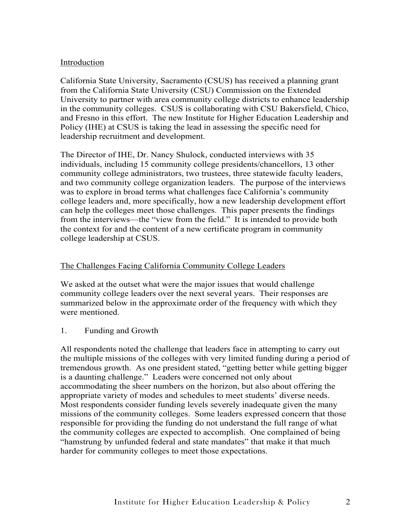#### Introduction

California State University, Sacramento (CSUS) has received a planning grant from the California State University (CSU) Commission on the Extended University to partner with area community college districts to enhance leadership in the community colleges. CSUS is collaborating with CSU Bakersfield, Chico, and Fresno in this effort. The new Institute for Higher Education Leadership and Policy (IHE) at CSUS is taking the lead in assessing the specific need for leadership recruitment and development.

The Director of IHE, Dr. Nancy Shulock, conducted interviews with 35 individuals, including 15 community college presidents/chancellors, 13 other community college administrators, two trustees, three statewide faculty leaders, and two community college organization leaders. The purpose of the interviews was to explore in broad terms what challenges face California's community college leaders and, more specifically, how a new leadership development effort can help the colleges meet those challenges. This paper presents the findings from the interviews—the "view from the field." It is intended to provide both the context for and the content of a new certificate program in community college leadership at CSUS.

#### The Challenges Facing California Community College Leaders

We asked at the outset what were the major issues that would challenge community college leaders over the next several years. Their responses are summarized below in the approximate order of the frequency with which they were mentioned.

1. Funding and Growth

All respondents noted the challenge that leaders face in attempting to carry out the multiple missions of the colleges with very limited funding during a period of tremendous growth. As one president stated, "getting better while getting bigger is a daunting challenge." Leaders were concerned not only about accommodating the sheer numbers on the horizon, but also about offering the appropriate variety of modes and schedules to meet students' diverse needs. Most respondents consider funding levels severely inadequate given the many missions of the community colleges. Some leaders expressed concern that those responsible for providing the funding do not understand the full range of what the community colleges are expected to accomplish. One complained of being "hamstrung by unfunded federal and state mandates" that make it that much harder for community colleges to meet those expectations.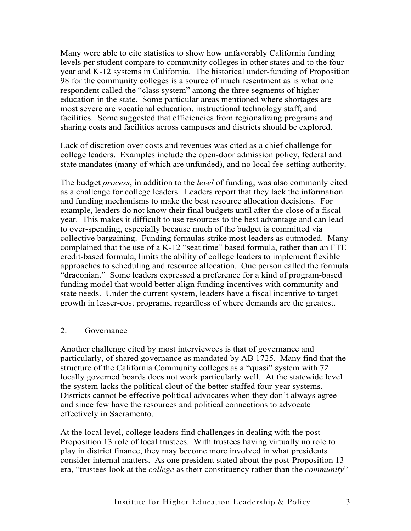Many were able to cite statistics to show how unfavorably California funding levels per student compare to community colleges in other states and to the fouryear and K-12 systems in California. The historical under-funding of Proposition 98 for the community colleges is a source of much resentment as is what one respondent called the "class system" among the three segments of higher education in the state. Some particular areas mentioned where shortages are most severe are vocational education, instructional technology staff, and facilities. Some suggested that efficiencies from regionalizing programs and sharing costs and facilities across campuses and districts should be explored.

Lack of discretion over costs and revenues was cited as a chief challenge for college leaders. Examples include the open-door admission policy, federal and state mandates (many of which are unfunded), and no local fee-setting authority.

The budget *process*, in addition to the *level* of funding, was also commonly cited as a challenge for college leaders. Leaders report that they lack the information and funding mechanisms to make the best resource allocation decisions. For example, leaders do not know their final budgets until after the close of a fiscal year. This makes it difficult to use resources to the best advantage and can lead to over-spending, especially because much of the budget is committed via collective bargaining. Funding formulas strike most leaders as outmoded. Many complained that the use of a K-12 "seat time" based formula, rather than an FTE credit-based formula, limits the ability of college leaders to implement flexible approaches to scheduling and resource allocation. One person called the formula "draconian." Some leaders expressed a preference for a kind of program-based funding model that would better align funding incentives with community and state needs. Under the current system, leaders have a fiscal incentive to target growth in lesser-cost programs, regardless of where demands are the greatest.

#### 2. Governance

Another challenge cited by most interviewees is that of governance and particularly, of shared governance as mandated by AB 1725. Many find that the structure of the California Community colleges as a "quasi" system with 72 locally governed boards does not work particularly well. At the statewide level the system lacks the political clout of the better-staffed four-year systems. Districts cannot be effective political advocates when they don't always agree and since few have the resources and political connections to advocate effectively in Sacramento.

At the local level, college leaders find challenges in dealing with the post-Proposition 13 role of local trustees. With trustees having virtually no role to play in district finance, they may become more involved in what presidents consider internal matters. As one president stated about the post-Proposition 13 era, "trustees look at the *college* as their constituency rather than the *community*"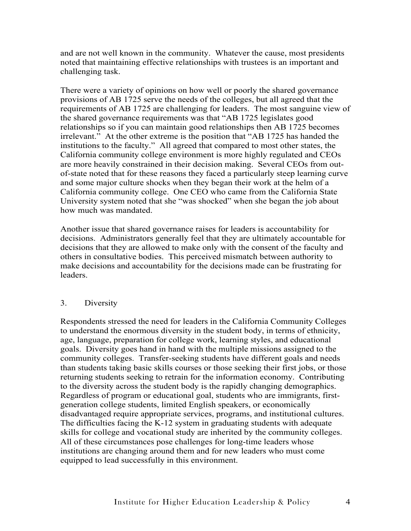and are not well known in the community. Whatever the cause, most presidents noted that maintaining effective relationships with trustees is an important and challenging task.

There were a variety of opinions on how well or poorly the shared governance provisions of AB 1725 serve the needs of the colleges, but all agreed that the requirements of AB 1725 are challenging for leaders. The most sanguine view of the shared governance requirements was that "AB 1725 legislates good relationships so if you can maintain good relationships then AB 1725 becomes irrelevant." At the other extreme is the position that "AB 1725 has handed the institutions to the faculty." All agreed that compared to most other states, the California community college environment is more highly regulated and CEOs are more heavily constrained in their decision making. Several CEOs from outof-state noted that for these reasons they faced a particularly steep learning curve and some major culture shocks when they began their work at the helm of a California community college. One CEO who came from the California State University system noted that she "was shocked" when she began the job about how much was mandated.

Another issue that shared governance raises for leaders is accountability for decisions. Administrators generally feel that they are ultimately accountable for decisions that they are allowed to make only with the consent of the faculty and others in consultative bodies. This perceived mismatch between authority to make decisions and accountability for the decisions made can be frustrating for leaders.

#### 3. Diversity

Respondents stressed the need for leaders in the California Community Colleges to understand the enormous diversity in the student body, in terms of ethnicity, age, language, preparation for college work, learning styles, and educational goals. Diversity goes hand in hand with the multiple missions assigned to the community colleges. Transfer-seeking students have different goals and needs than students taking basic skills courses or those seeking their first jobs, or those returning students seeking to retrain for the information economy. Contributing to the diversity across the student body is the rapidly changing demographics. Regardless of program or educational goal, students who are immigrants, firstgeneration college students, limited English speakers, or economically disadvantaged require appropriate services, programs, and institutional cultures. The difficulties facing the K-12 system in graduating students with adequate skills for college and vocational study are inherited by the community colleges. All of these circumstances pose challenges for long-time leaders whose institutions are changing around them and for new leaders who must come equipped to lead successfully in this environment.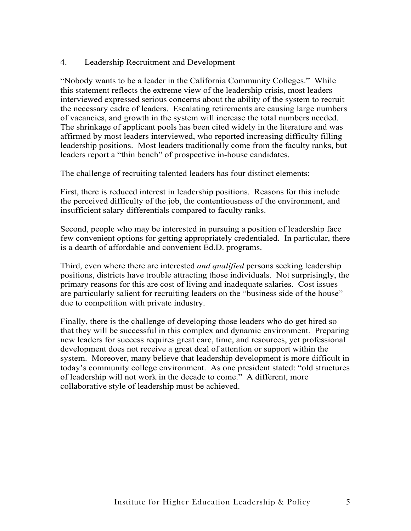#### 4. Leadership Recruitment and Development

"Nobody wants to be a leader in the California Community Colleges." While this statement reflects the extreme view of the leadership crisis, most leaders interviewed expressed serious concerns about the ability of the system to recruit the necessary cadre of leaders. Escalating retirements are causing large numbers of vacancies, and growth in the system will increase the total numbers needed. The shrinkage of applicant pools has been cited widely in the literature and was affirmed by most leaders interviewed, who reported increasing difficulty filling leadership positions. Most leaders traditionally come from the faculty ranks, but leaders report a "thin bench" of prospective in-house candidates.

The challenge of recruiting talented leaders has four distinct elements:

First, there is reduced interest in leadership positions. Reasons for this include the perceived difficulty of the job, the contentiousness of the environment, and insufficient salary differentials compared to faculty ranks.

Second, people who may be interested in pursuing a position of leadership face few convenient options for getting appropriately credentialed. In particular, there is a dearth of affordable and convenient Ed.D. programs.

Third, even where there are interested *and qualified* persons seeking leadership positions, districts have trouble attracting those individuals. Not surprisingly, the primary reasons for this are cost of living and inadequate salaries. Cost issues are particularly salient for recruiting leaders on the "business side of the house" due to competition with private industry.

Finally, there is the challenge of developing those leaders who do get hired so that they will be successful in this complex and dynamic environment. Preparing new leaders for success requires great care, time, and resources, yet professional development does not receive a great deal of attention or support within the system. Moreover, many believe that leadership development is more difficult in today's community college environment. As one president stated: "old structures of leadership will not work in the decade to come." A different, more collaborative style of leadership must be achieved.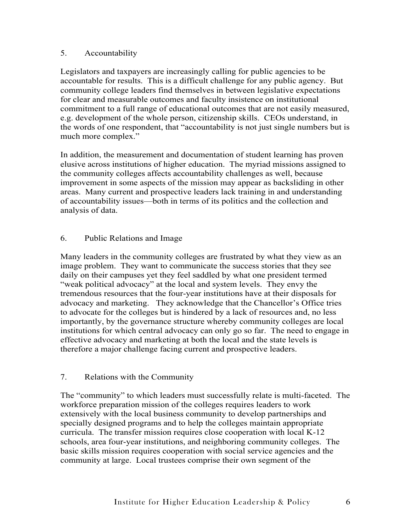#### 5. Accountability

Legislators and taxpayers are increasingly calling for public agencies to be accountable for results. This is a difficult challenge for any public agency. But community college leaders find themselves in between legislative expectations for clear and measurable outcomes and faculty insistence on institutional commitment to a full range of educational outcomes that are not easily measured, e.g. development of the whole person, citizenship skills. CEOs understand, in the words of one respondent, that "accountability is not just single numbers but is much more complex."

In addition, the measurement and documentation of student learning has proven elusive across institutions of higher education. The myriad missions assigned to the community colleges affects accountability challenges as well, because improvement in some aspects of the mission may appear as backsliding in other areas. Many current and prospective leaders lack training in and understanding of accountability issues—both in terms of its politics and the collection and analysis of data.

#### 6. Public Relations and Image

Many leaders in the community colleges are frustrated by what they view as an image problem. They want to communicate the success stories that they see daily on their campuses yet they feel saddled by what one president termed "weak political advocacy" at the local and system levels. They envy the tremendous resources that the four-year institutions have at their disposals for advocacy and marketing. They acknowledge that the Chancellor's Office tries to advocate for the colleges but is hindered by a lack of resources and, no less importantly, by the governance structure whereby community colleges are local institutions for which central advocacy can only go so far. The need to engage in effective advocacy and marketing at both the local and the state levels is therefore a major challenge facing current and prospective leaders.

#### 7. Relations with the Community

The "community" to which leaders must successfully relate is multi-faceted. The workforce preparation mission of the colleges requires leaders to work extensively with the local business community to develop partnerships and specially designed programs and to help the colleges maintain appropriate curricula. The transfer mission requires close cooperation with local K-12 schools, area four-year institutions, and neighboring community colleges. The basic skills mission requires cooperation with social service agencies and the community at large. Local trustees comprise their own segment of the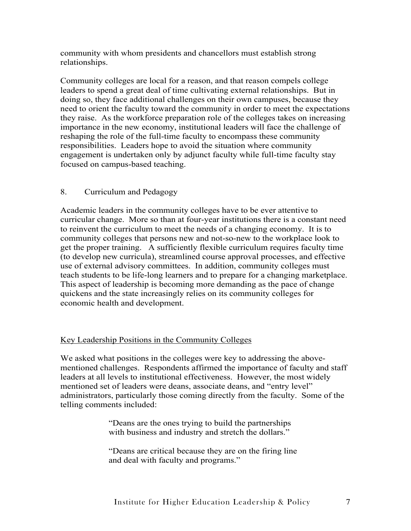community with whom presidents and chancellors must establish strong relationships.

Community colleges are local for a reason, and that reason compels college leaders to spend a great deal of time cultivating external relationships. But in doing so, they face additional challenges on their own campuses, because they need to orient the faculty toward the community in order to meet the expectations they raise. As the workforce preparation role of the colleges takes on increasing importance in the new economy, institutional leaders will face the challenge of reshaping the role of the full-time faculty to encompass these community responsibilities. Leaders hope to avoid the situation where community engagement is undertaken only by adjunct faculty while full-time faculty stay focused on campus-based teaching.

#### 8. Curriculum and Pedagogy

Academic leaders in the community colleges have to be ever attentive to curricular change. More so than at four-year institutions there is a constant need to reinvent the curriculum to meet the needs of a changing economy. It is to community colleges that persons new and not-so-new to the workplace look to get the proper training. A sufficiently flexible curriculum requires faculty time (to develop new curricula), streamlined course approval processes, and effective use of external advisory committees. In addition, community colleges must teach students to be life-long learners and to prepare for a changing marketplace. This aspect of leadership is becoming more demanding as the pace of change quickens and the state increasingly relies on its community colleges for economic health and development.

#### Key Leadership Positions in the Community Colleges

We asked what positions in the colleges were key to addressing the abovementioned challenges. Respondents affirmed the importance of faculty and staff leaders at all levels to institutional effectiveness. However, the most widely mentioned set of leaders were deans, associate deans, and "entry level" administrators, particularly those coming directly from the faculty. Some of the telling comments included:

> "Deans are the ones trying to build the partnerships with business and industry and stretch the dollars."

"Deans are critical because they are on the firing line and deal with faculty and programs."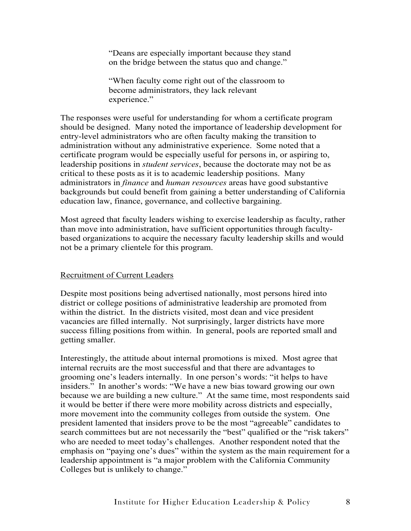"Deans are especially important because they stand on the bridge between the status quo and change."

"When faculty come right out of the classroom to become administrators, they lack relevant experience."

The responses were useful for understanding for whom a certificate program should be designed. Many noted the importance of leadership development for entry-level administrators who are often faculty making the transition to administration without any administrative experience. Some noted that a certificate program would be especially useful for persons in, or aspiring to, leadership positions in *student services*, because the doctorate may not be as critical to these posts as it is to academic leadership positions. Many administrators in *finance* and *human resources* areas have good substantive backgrounds but could benefit from gaining a better understanding of California education law, finance, governance, and collective bargaining.

Most agreed that faculty leaders wishing to exercise leadership as faculty, rather than move into administration, have sufficient opportunities through facultybased organizations to acquire the necessary faculty leadership skills and would not be a primary clientele for this program.

#### Recruitment of Current Leaders

Despite most positions being advertised nationally, most persons hired into district or college positions of administrative leadership are promoted from within the district. In the districts visited, most dean and vice president vacancies are filled internally. Not surprisingly, larger districts have more success filling positions from within. In general, pools are reported small and getting smaller.

Interestingly, the attitude about internal promotions is mixed. Most agree that internal recruits are the most successful and that there are advantages to grooming one's leaders internally. In one person's words: "it helps to have insiders." In another's words: "We have a new bias toward growing our own because we are building a new culture." At the same time, most respondents said it would be better if there were more mobility across districts and especially, more movement into the community colleges from outside the system. One president lamented that insiders prove to be the most "agreeable" candidates to search committees but are not necessarily the "best" qualified or the "risk takers" who are needed to meet today's challenges. Another respondent noted that the emphasis on "paying one's dues" within the system as the main requirement for a leadership appointment is "a major problem with the California Community Colleges but is unlikely to change."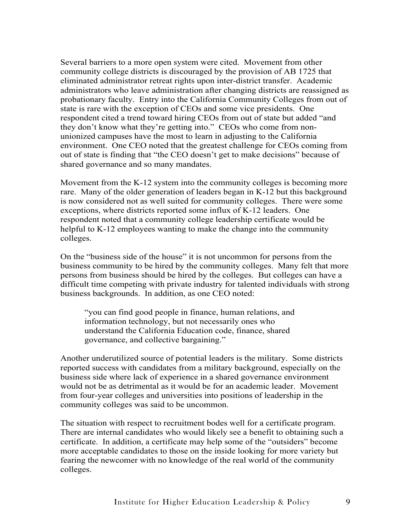Several barriers to a more open system were cited. Movement from other community college districts is discouraged by the provision of AB 1725 that eliminated administrator retreat rights upon inter-district transfer. Academic administrators who leave administration after changing districts are reassigned as probationary faculty. Entry into the California Community Colleges from out of state is rare with the exception of CEOs and some vice presidents. One respondent cited a trend toward hiring CEOs from out of state but added "and they don't know what they're getting into." CEOs who come from nonunionized campuses have the most to learn in adjusting to the California environment. One CEO noted that the greatest challenge for CEOs coming from out of state is finding that "the CEO doesn't get to make decisions" because of shared governance and so many mandates.

Movement from the K-12 system into the community colleges is becoming more rare. Many of the older generation of leaders began in K-12 but this background is now considered not as well suited for community colleges. There were some exceptions, where districts reported some influx of K-12 leaders. One respondent noted that a community college leadership certificate would be helpful to K-12 employees wanting to make the change into the community colleges.

On the "business side of the house" it is not uncommon for persons from the business community to be hired by the community colleges. Many felt that more persons from business should be hired by the colleges. But colleges can have a difficult time competing with private industry for talented individuals with strong business backgrounds. In addition, as one CEO noted:

"you can find good people in finance, human relations, and information technology, but not necessarily ones who understand the California Education code, finance, shared governance, and collective bargaining."

Another underutilized source of potential leaders is the military. Some districts reported success with candidates from a military background, especially on the business side where lack of experience in a shared governance environment would not be as detrimental as it would be for an academic leader. Movement from four-year colleges and universities into positions of leadership in the community colleges was said to be uncommon.

The situation with respect to recruitment bodes well for a certificate program. There are internal candidates who would likely see a benefit to obtaining such a certificate. In addition, a certificate may help some of the "outsiders" become more acceptable candidates to those on the inside looking for more variety but fearing the newcomer with no knowledge of the real world of the community colleges.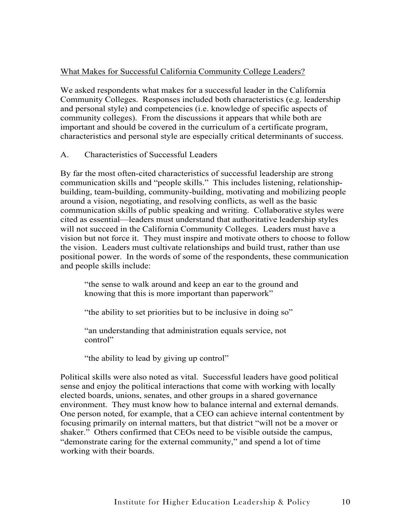#### What Makes for Successful California Community College Leaders?

We asked respondents what makes for a successful leader in the California Community Colleges. Responses included both characteristics (e.g. leadership and personal style) and competencies (i.e. knowledge of specific aspects of community colleges). From the discussions it appears that while both are important and should be covered in the curriculum of a certificate program, characteristics and personal style are especially critical determinants of success.

A. Characteristics of Successful Leaders

By far the most often-cited characteristics of successful leadership are strong communication skills and "people skills." This includes listening, relationshipbuilding, team-building, community-building, motivating and mobilizing people around a vision, negotiating, and resolving conflicts, as well as the basic communication skills of public speaking and writing. Collaborative styles were cited as essential—leaders must understand that authoritative leadership styles will not succeed in the California Community Colleges. Leaders must have a vision but not force it. They must inspire and motivate others to choose to follow the vision. Leaders must cultivate relationships and build trust, rather than use positional power. In the words of some of the respondents, these communication and people skills include:

"the sense to walk around and keep an ear to the ground and knowing that this is more important than paperwork"

"the ability to set priorities but to be inclusive in doing so"

"an understanding that administration equals service, not control"

"the ability to lead by giving up control"

Political skills were also noted as vital. Successful leaders have good political sense and enjoy the political interactions that come with working with locally elected boards, unions, senates, and other groups in a shared governance environment. They must know how to balance internal and external demands. One person noted, for example, that a CEO can achieve internal contentment by focusing primarily on internal matters, but that district "will not be a mover or shaker." Others confirmed that CEOs need to be visible outside the campus, "demonstrate caring for the external community," and spend a lot of time working with their boards.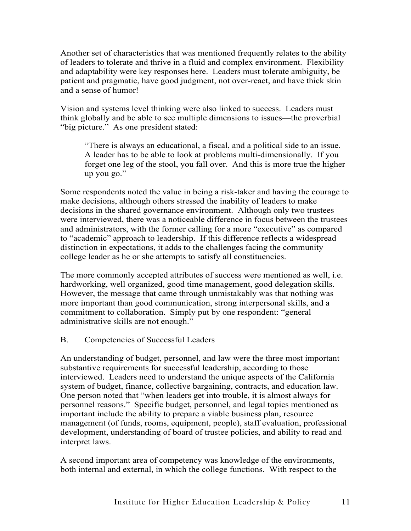Another set of characteristics that was mentioned frequently relates to the ability of leaders to tolerate and thrive in a fluid and complex environment. Flexibility and adaptability were key responses here. Leaders must tolerate ambiguity, be patient and pragmatic, have good judgment, not over-react, and have thick skin and a sense of humor!

Vision and systems level thinking were also linked to success. Leaders must think globally and be able to see multiple dimensions to issues—the proverbial "big picture." As one president stated:

"There is always an educational, a fiscal, and a political side to an issue. A leader has to be able to look at problems multi-dimensionally. If you forget one leg of the stool, you fall over. And this is more true the higher up you go."

Some respondents noted the value in being a risk-taker and having the courage to make decisions, although others stressed the inability of leaders to make decisions in the shared governance environment. Although only two trustees were interviewed, there was a noticeable difference in focus between the trustees and administrators, with the former calling for a more "executive" as compared to "academic" approach to leadership. If this difference reflects a widespread distinction in expectations, it adds to the challenges facing the community college leader as he or she attempts to satisfy all constituencies.

The more commonly accepted attributes of success were mentioned as well, i.e. hardworking, well organized, good time management, good delegation skills. However, the message that came through unmistakably was that nothing was more important than good communication, strong interpersonal skills, and a commitment to collaboration. Simply put by one respondent: "general administrative skills are not enough."

#### B. Competencies of Successful Leaders

An understanding of budget, personnel, and law were the three most important substantive requirements for successful leadership, according to those interviewed. Leaders need to understand the unique aspects of the California system of budget, finance, collective bargaining, contracts, and education law. One person noted that "when leaders get into trouble, it is almost always for personnel reasons." Specific budget, personnel, and legal topics mentioned as important include the ability to prepare a viable business plan, resource management (of funds, rooms, equipment, people), staff evaluation, professional development, understanding of board of trustee policies, and ability to read and interpret laws.

A second important area of competency was knowledge of the environments, both internal and external, in which the college functions. With respect to the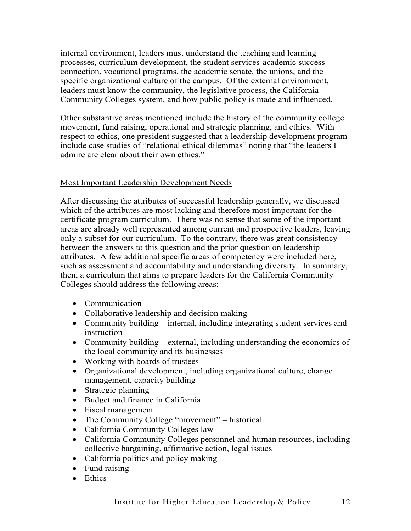internal environment, leaders must understand the teaching and learning processes, curriculum development, the student services-academic success connection, vocational programs, the academic senate, the unions, and the specific organizational culture of the campus. Of the external environment, leaders must know the community, the legislative process, the California Community Colleges system, and how public policy is made and influenced.

Other substantive areas mentioned include the history of the community college movement, fund raising, operational and strategic planning, and ethics. With respect to ethics, one president suggested that a leadership development program include case studies of "relational ethical dilemmas" noting that "the leaders I admire are clear about their own ethics."

#### Most Important Leadership Development Needs

After discussing the attributes of successful leadership generally, we discussed which of the attributes are most lacking and therefore most important for the certificate program curriculum. There was no sense that some of the important areas are already well represented among current and prospective leaders, leaving only a subset for our curriculum. To the contrary, there was great consistency between the answers to this question and the prior question on leadership attributes. A few additional specific areas of competency were included here, such as assessment and accountability and understanding diversity. In summary, then, a curriculum that aims to prepare leaders for the California Community Colleges should address the following areas:

- Communication
- Collaborative leadership and decision making
- Community building—internal, including integrating student services and instruction
- Community building—external, including understanding the economics of the local community and its businesses
- Working with boards of trustees
- Organizational development, including organizational culture, change management, capacity building
- Strategic planning
- Budget and finance in California
- Fiscal management
- The Community College "movement" historical
- California Community Colleges law
- California Community Colleges personnel and human resources, including collective bargaining, affirmative action, legal issues
- California politics and policy making
- Fund raising
- Ethics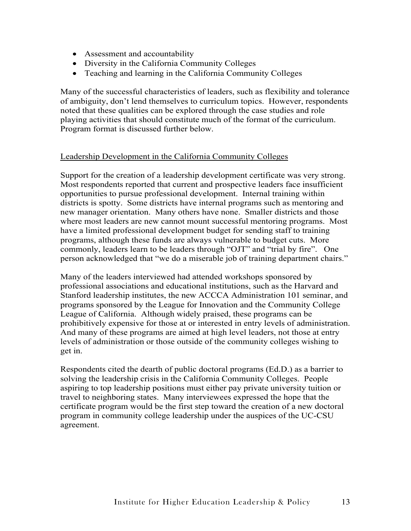- Assessment and accountability
- Diversity in the California Community Colleges
- Teaching and learning in the California Community Colleges

Many of the successful characteristics of leaders, such as flexibility and tolerance of ambiguity, don't lend themselves to curriculum topics. However, respondents noted that these qualities can be explored through the case studies and role playing activities that should constitute much of the format of the curriculum. Program format is discussed further below.

#### Leadership Development in the California Community Colleges

Support for the creation of a leadership development certificate was very strong. Most respondents reported that current and prospective leaders face insufficient opportunities to pursue professional development. Internal training within districts is spotty. Some districts have internal programs such as mentoring and new manager orientation. Many others have none. Smaller districts and those where most leaders are new cannot mount successful mentoring programs. Most have a limited professional development budget for sending staff to training programs, although these funds are always vulnerable to budget cuts. More commonly, leaders learn to be leaders through "OJT" and "trial by fire". One person acknowledged that "we do a miserable job of training department chairs."

Many of the leaders interviewed had attended workshops sponsored by professional associations and educational institutions, such as the Harvard and Stanford leadership institutes, the new ACCCA Administration 101 seminar, and programs sponsored by the League for Innovation and the Community College League of California. Although widely praised, these programs can be prohibitively expensive for those at or interested in entry levels of administration. And many of these programs are aimed at high level leaders, not those at entry levels of administration or those outside of the community colleges wishing to get in.

Respondents cited the dearth of public doctoral programs (Ed.D.) as a barrier to solving the leadership crisis in the California Community Colleges. People aspiring to top leadership positions must either pay private university tuition or travel to neighboring states. Many interviewees expressed the hope that the certificate program would be the first step toward the creation of a new doctoral program in community college leadership under the auspices of the UC-CSU agreement.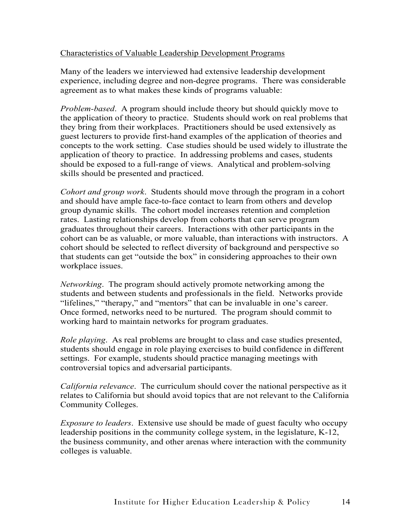#### Characteristics of Valuable Leadership Development Programs

Many of the leaders we interviewed had extensive leadership development experience, including degree and non-degree programs. There was considerable agreement as to what makes these kinds of programs valuable:

*Problem-based*. A program should include theory but should quickly move to the application of theory to practice. Students should work on real problems that they bring from their workplaces. Practitioners should be used extensively as guest lecturers to provide first-hand examples of the application of theories and concepts to the work setting. Case studies should be used widely to illustrate the application of theory to practice. In addressing problems and cases, students should be exposed to a full-range of views. Analytical and problem-solving skills should be presented and practiced.

*Cohort and group work*. Students should move through the program in a cohort and should have ample face-to-face contact to learn from others and develop group dynamic skills. The cohort model increases retention and completion rates. Lasting relationships develop from cohorts that can serve program graduates throughout their careers. Interactions with other participants in the cohort can be as valuable, or more valuable, than interactions with instructors. A cohort should be selected to reflect diversity of background and perspective so that students can get "outside the box" in considering approaches to their own workplace issues.

*Networking*. The program should actively promote networking among the students and between students and professionals in the field. Networks provide "lifelines," "therapy," and "mentors" that can be invaluable in one's career. Once formed, networks need to be nurtured. The program should commit to working hard to maintain networks for program graduates.

*Role playing*. As real problems are brought to class and case studies presented, students should engage in role playing exercises to build confidence in different settings. For example, students should practice managing meetings with controversial topics and adversarial participants.

*California relevance*. The curriculum should cover the national perspective as it relates to California but should avoid topics that are not relevant to the California Community Colleges.

*Exposure to leaders*. Extensive use should be made of guest faculty who occupy leadership positions in the community college system, in the legislature, K-12, the business community, and other arenas where interaction with the community colleges is valuable.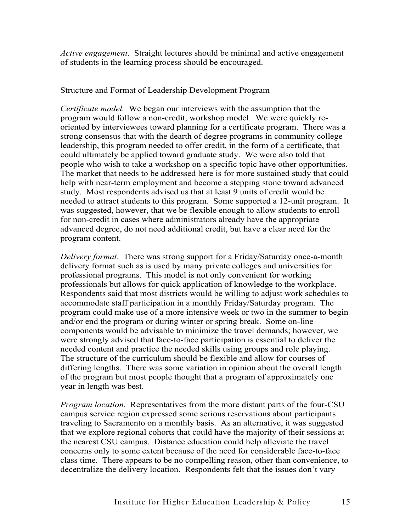*Active engagement*. Straight lectures should be minimal and active engagement of students in the learning process should be encouraged.

#### Structure and Format of Leadership Development Program

*Certificate model.* We began our interviews with the assumption that the program would follow a non-credit, workshop model. We were quickly reoriented by interviewees toward planning for a certificate program. There was a strong consensus that with the dearth of degree programs in community college leadership, this program needed to offer credit, in the form of a certificate, that could ultimately be applied toward graduate study. We were also told that people who wish to take a workshop on a specific topic have other opportunities. The market that needs to be addressed here is for more sustained study that could help with near-term employment and become a stepping stone toward advanced study. Most respondents advised us that at least 9 units of credit would be needed to attract students to this program. Some supported a 12-unit program. It was suggested, however, that we be flexible enough to allow students to enroll for non-credit in cases where administrators already have the appropriate advanced degree, do not need additional credit, but have a clear need for the program content.

*Delivery format*. There was strong support for a Friday/Saturday once-a-month delivery format such as is used by many private colleges and universities for professional programs. This model is not only convenient for working professionals but allows for quick application of knowledge to the workplace. Respondents said that most districts would be willing to adjust work schedules to accommodate staff participation in a monthly Friday/Saturday program. The program could make use of a more intensive week or two in the summer to begin and/or end the program or during winter or spring break. Some on-line components would be advisable to minimize the travel demands; however, we were strongly advised that face-to-face participation is essential to deliver the needed content and practice the needed skills using groups and role playing. The structure of the curriculum should be flexible and allow for courses of differing lengths. There was some variation in opinion about the overall length of the program but most people thought that a program of approximately one year in length was best.

*Program location.* Representatives from the more distant parts of the four-CSU campus service region expressed some serious reservations about participants traveling to Sacramento on a monthly basis. As an alternative, it was suggested that we explore regional cohorts that could have the majority of their sessions at the nearest CSU campus. Distance education could help alleviate the travel concerns only to some extent because of the need for considerable face-to-face class time. There appears to be no compelling reason, other than convenience, to decentralize the delivery location. Respondents felt that the issues don't vary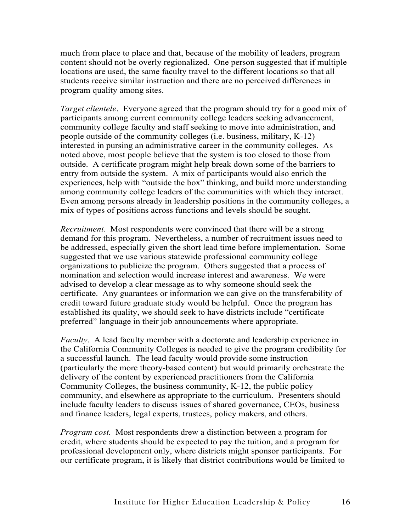much from place to place and that, because of the mobility of leaders, program content should not be overly regionalized. One person suggested that if multiple locations are used, the same faculty travel to the different locations so that all students receive similar instruction and there are no perceived differences in program quality among sites.

*Target clientele*. Everyone agreed that the program should try for a good mix of participants among current community college leaders seeking advancement, community college faculty and staff seeking to move into administration, and people outside of the community colleges (i.e. business, military, K-12) interested in pursing an administrative career in the community colleges. As noted above, most people believe that the system is too closed to those from outside. A certificate program might help break down some of the barriers to entry from outside the system. A mix of participants would also enrich the experiences, help with "outside the box" thinking, and build more understanding among community college leaders of the communities with which they interact. Even among persons already in leadership positions in the community colleges, a mix of types of positions across functions and levels should be sought.

*Recruitment*. Most respondents were convinced that there will be a strong demand for this program. Nevertheless, a number of recruitment issues need to be addressed, especially given the short lead time before implementation. Some suggested that we use various statewide professional community college organizations to publicize the program. Others suggested that a process of nomination and selection would increase interest and awareness. We were advised to develop a clear message as to why someone should seek the certificate. Any guarantees or information we can give on the transferability of credit toward future graduate study would be helpful. Once the program has established its quality, we should seek to have districts include "certificate preferred" language in their job announcements where appropriate.

*Faculty*. A lead faculty member with a doctorate and leadership experience in the California Community Colleges is needed to give the program credibility for a successful launch. The lead faculty would provide some instruction (particularly the more theory-based content) but would primarily orchestrate the delivery of the content by experienced practitioners from the California Community Colleges, the business community, K-12, the public policy community, and elsewhere as appropriate to the curriculum. Presenters should include faculty leaders to discuss issues of shared governance, CEOs, business and finance leaders, legal experts, trustees, policy makers, and others.

*Program cost.* Most respondents drew a distinction between a program for credit, where students should be expected to pay the tuition, and a program for professional development only, where districts might sponsor participants. For our certificate program, it is likely that district contributions would be limited to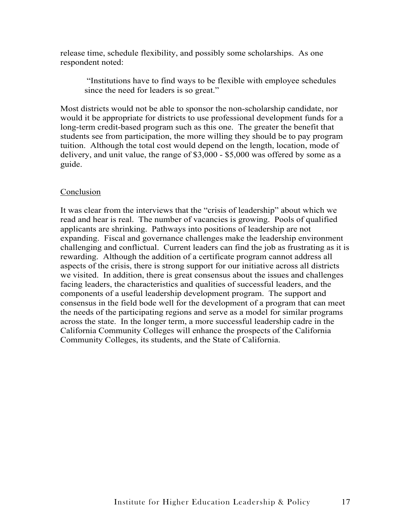release time, schedule flexibility, and possibly some scholarships. As one respondent noted:

 "Institutions have to find ways to be flexible with employee schedules since the need for leaders is so great."

Most districts would not be able to sponsor the non-scholarship candidate, nor would it be appropriate for districts to use professional development funds for a long-term credit-based program such as this one. The greater the benefit that students see from participation, the more willing they should be to pay program tuition. Although the total cost would depend on the length, location, mode of delivery, and unit value, the range of \$3,000 - \$5,000 was offered by some as a guide.

#### Conclusion

It was clear from the interviews that the "crisis of leadership" about which we read and hear is real. The number of vacancies is growing. Pools of qualified applicants are shrinking. Pathways into positions of leadership are not expanding. Fiscal and governance challenges make the leadership environment challenging and conflictual. Current leaders can find the job as frustrating as it is rewarding. Although the addition of a certificate program cannot address all aspects of the crisis, there is strong support for our initiative across all districts we visited. In addition, there is great consensus about the issues and challenges facing leaders, the characteristics and qualities of successful leaders, and the components of a useful leadership development program. The support and consensus in the field bode well for the development of a program that can meet the needs of the participating regions and serve as a model for similar programs across the state. In the longer term, a more successful leadership cadre in the California Community Colleges will enhance the prospects of the California Community Colleges, its students, and the State of California.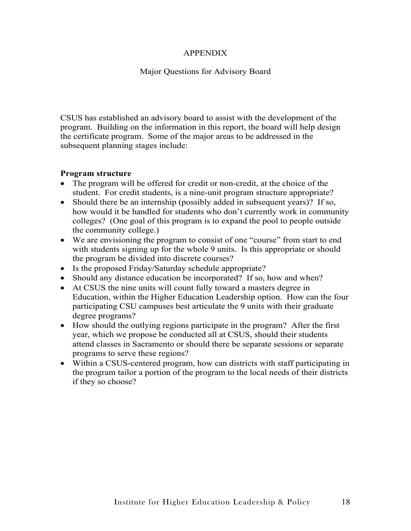#### APPENDIX

#### Major Questions for Advisory Board

CSUS has established an advisory board to assist with the development of the program. Building on the information in this report, the board will help design the certificate program. Some of the major areas to be addressed in the subsequent planning stages include:

#### **Program structure**

- The program will be offered for credit or non-credit, at the choice of the student. For credit students, is a nine-unit program structure appropriate?
- Should there be an internship (possibly added in subsequent years)? If so, how would it be handled for students who don't currently work in community colleges? (One goal of this program is to expand the pool to people outside the community college.)
- We are envisioning the program to consist of one "course" from start to end with students signing up for the whole 9 units. Is this appropriate or should the program be divided into discrete courses?
- Is the proposed Friday/Saturday schedule appropriate?
- Should any distance education be incorporated? If so, how and when?
- At CSUS the nine units will count fully toward a masters degree in Education, within the Higher Education Leadership option. How can the four participating CSU campuses best articulate the 9 units with their graduate degree programs?
- How should the outlying regions participate in the program? After the first year, which we propose be conducted all at CSUS, should their students attend classes in Sacramento or should there be separate sessions or separate programs to serve these regions?
- Within a CSUS-centered program, how can districts with staff participating in the program tailor a portion of the program to the local needs of their districts if they so choose?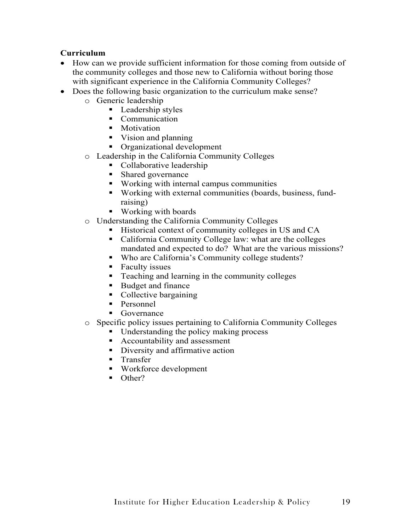#### **Curriculum**

- How can we provide sufficient information for those coming from outside of the community colleges and those new to California without boring those with significant experience in the California Community Colleges?
- Does the following basic organization to the curriculum make sense?
	- o Generic leadership
		- Leadership styles
		- Communication
		- Motivation
		- Vision and planning
		- **•** Organizational development
	- o Leadership in the California Community Colleges
		- Collaborative leadership
		- **Shared governance**
		- Working with internal campus communities
		- Working with external communities (boards, business, fundraising)
		- Working with boards
	- o Understanding the California Community Colleges
		- Historical context of community colleges in US and CA
		- California Community College law: what are the colleges mandated and expected to do? What are the various missions?
		- Who are California's Community college students?
		- Faculty issues
		- **Teaching and learning in the community colleges**
		- Budget and finance
		- Collective bargaining
		- Personnel
		- Governance
	- o Specific policy issues pertaining to California Community Colleges
		- Understanding the policy making process
		- Accountability and assessment
		- Diversity and affirmative action
		- **Transfer**
		- Workforce development
		- $\blacksquare$  Other?